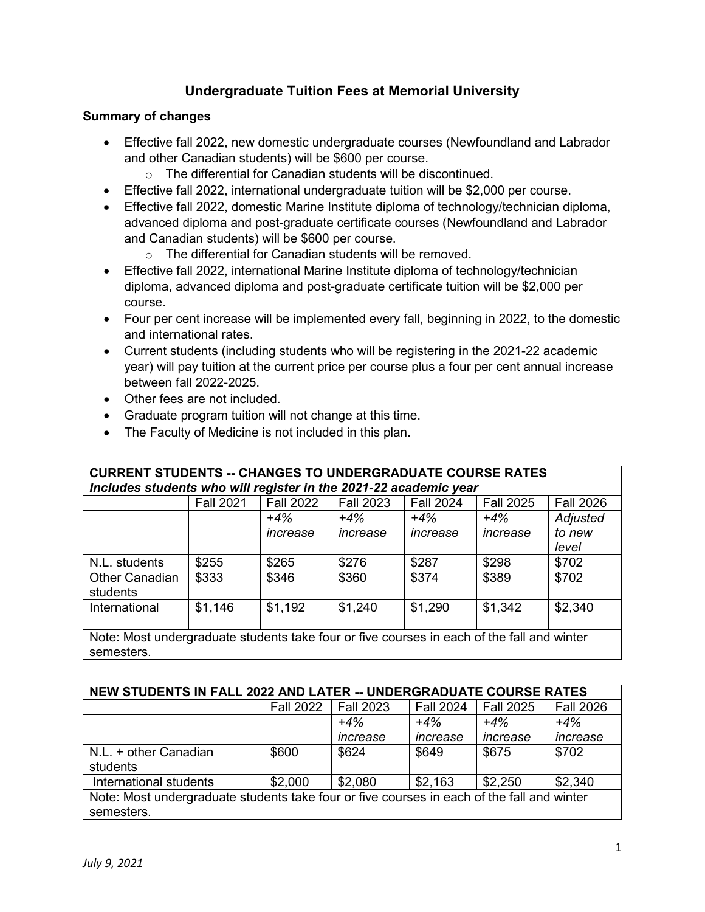# **Undergraduate Tuition Fees at Memorial University**

#### **Summary of changes**

- Effective fall 2022, new domestic undergraduate courses (Newfoundland and Labrador and other Canadian students) will be \$600 per course.
	- o The differential for Canadian students will be discontinued.
- Effective fall 2022, international undergraduate tuition will be \$2,000 per course.
- Effective fall 2022, domestic Marine Institute diploma of technology/technician diploma, advanced diploma and post-graduate certificate courses (Newfoundland and Labrador and Canadian students) will be \$600 per course.
	- o The differential for Canadian students will be removed.
- Effective fall 2022, international Marine Institute diploma of technology/technician diploma, advanced diploma and post-graduate certificate tuition will be \$2,000 per course.
- Four per cent increase will be implemented every fall, beginning in 2022, to the domestic and international rates.
- Current students (including students who will be registering in the 2021-22 academic year) will pay tuition at the current price per course plus a four per cent annual increase between fall 2022-2025.
- Other fees are not included.
- Graduate program tuition will not change at this time.
- The Faculty of Medicine is not included in this plan.

## **CURRENT STUDENTS -- CHANGES TO UNDERGRADUATE COURSE RATES** *Includes students who will register in the 2021-22 academic year*

|                                                                                            | <b>Fall 2021</b> | <b>Fall 2022</b> | <b>Fall 2023</b> | <b>Fall 2024</b> | <b>Fall 2025</b> | <b>Fall 2026</b> |
|--------------------------------------------------------------------------------------------|------------------|------------------|------------------|------------------|------------------|------------------|
|                                                                                            |                  | $+4%$            | $+4%$            | $+4%$            | $+4\%$           | Adjusted         |
|                                                                                            |                  | increase         | increase         | increase         | increase         | to new           |
|                                                                                            |                  |                  |                  |                  |                  | level            |
| N.L. students                                                                              | \$255            | \$265            | \$276            | \$287            | \$298            | \$702            |
| <b>Other Canadian</b>                                                                      | \$333            | \$346            | \$360            | \$374            | \$389            | \$702            |
| students                                                                                   |                  |                  |                  |                  |                  |                  |
| International                                                                              | \$1,146          | \$1,192          | \$1,240          | \$1,290          | \$1,342          | \$2,340          |
|                                                                                            |                  |                  |                  |                  |                  |                  |
| Note: Most undergraduate students take four or five courses in each of the fall and winter |                  |                  |                  |                  |                  |                  |
| semesters.                                                                                 |                  |                  |                  |                  |                  |                  |

| <b>NEW STUDENTS IN FALL 2022 AND LATER -- UNDERGRADUATE COURSE RATES</b>                   |                  |                  |                  |                  |                  |  |  |  |
|--------------------------------------------------------------------------------------------|------------------|------------------|------------------|------------------|------------------|--|--|--|
|                                                                                            | <b>Fall 2022</b> | <b>Fall 2023</b> | <b>Fall 2024</b> | <b>Fall 2025</b> | <b>Fall 2026</b> |  |  |  |
|                                                                                            |                  | $+4%$            | $+4%$            | $+4%$            | $+4%$            |  |  |  |
|                                                                                            |                  | increase         | increase         | increase         | increase         |  |  |  |
| N.L. + other Canadian                                                                      | \$600            | \$624            | \$649            | \$675            | \$702            |  |  |  |
| students                                                                                   |                  |                  |                  |                  |                  |  |  |  |
| International students                                                                     | \$2,000          | \$2,080          | \$2,163          | \$2,250          | \$2,340          |  |  |  |
| Note: Most undergraduate students take four or five courses in each of the fall and winter |                  |                  |                  |                  |                  |  |  |  |
| semesters.                                                                                 |                  |                  |                  |                  |                  |  |  |  |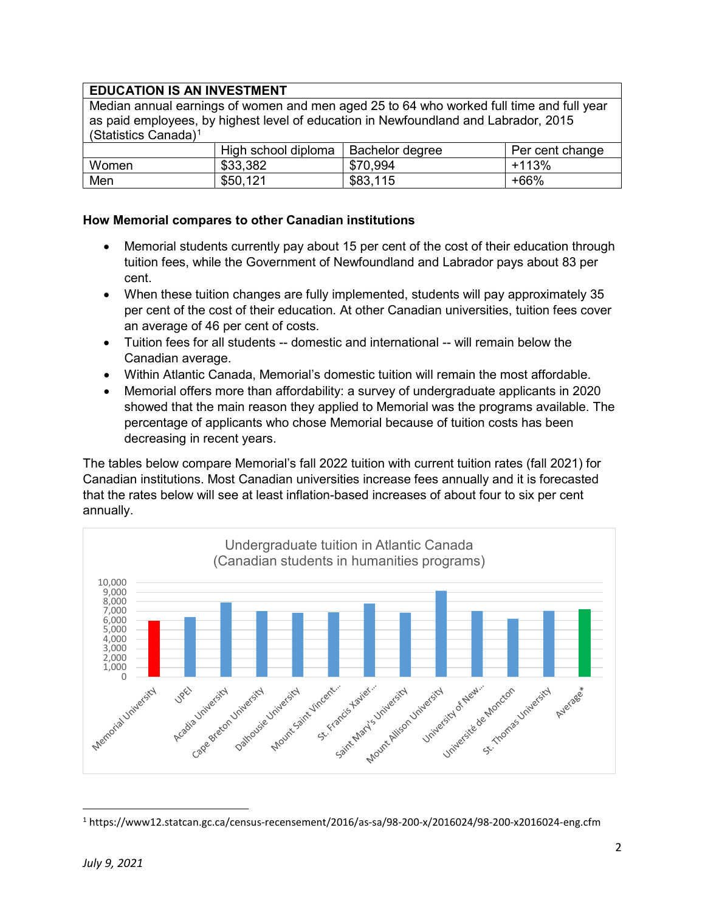### **EDUCATION IS AN INVESTMENT**

Median annual earnings of women and men aged 25 to 64 who worked full time and full year as paid employees, by highest level of education in Newfoundland and Labrador, 2015 (Statistics Canada)[1](#page-1-0)

|       | High school diploma | Bachelor degree | Per cent change |
|-------|---------------------|-----------------|-----------------|
| Women | \$33,382            | \$70,994        | $+113%$         |
| Men   | \$50,121            | \$83,115        | +66%            |

#### **How Memorial compares to other Canadian institutions**

- Memorial students currently pay about 15 per cent of the cost of their education through tuition fees, while the Government of Newfoundland and Labrador pays about 83 per cent.
- When these tuition changes are fully implemented, students will pay approximately 35 per cent of the cost of their education. At other Canadian universities, tuition fees cover an average of 46 per cent of costs.
- Tuition fees for all students -- domestic and international -- will remain below the Canadian average.
- Within Atlantic Canada, Memorial's domestic tuition will remain the most affordable.
- Memorial offers more than affordability: a survey of undergraduate applicants in 2020 showed that the main reason they applied to Memorial was the programs available. The percentage of applicants who chose Memorial because of tuition costs has been decreasing in recent years.

The tables below compare Memorial's fall 2022 tuition with current tuition rates (fall 2021) for Canadian institutions. Most Canadian universities increase fees annually and it is forecasted that the rates below will see at least inflation-based increases of about four to six per cent annually.



<span id="page-1-0"></span> <sup>1</sup> https://www12.statcan.gc.ca/census-recensement/2016/as-sa/98-200-x/2016024/98-200-x2016024-eng.cfm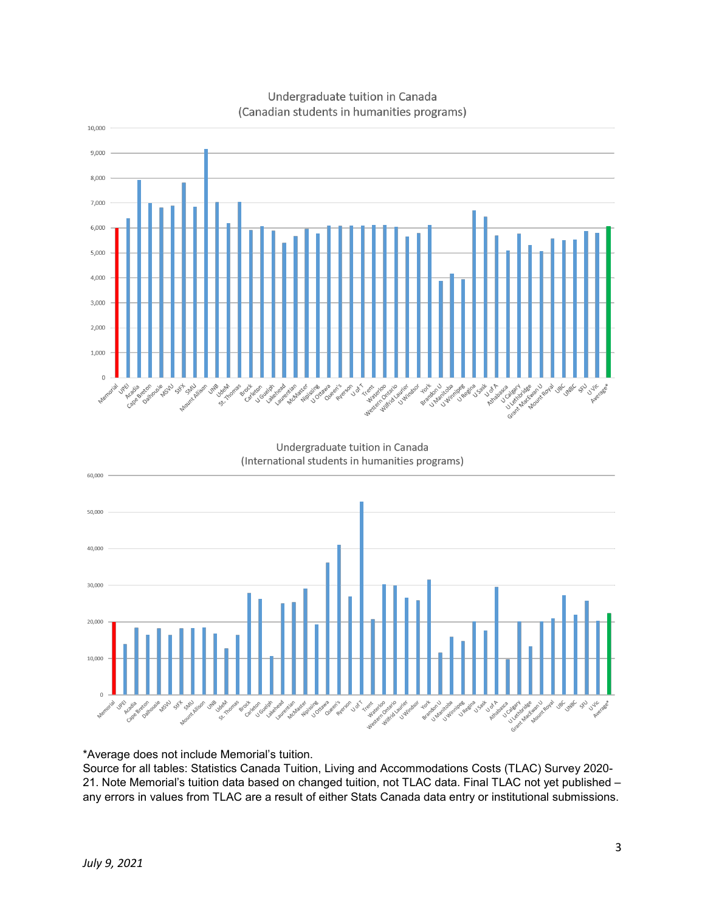

#### Undergraduate tuition in Canada (Canadian students in humanities programs)

\*Average does not include Memorial's tuition.

Source for all tables: Statistics Canada Tuition, Living and Accommodations Costs (TLAC) Survey 2020- 21. Note Memorial's tuition data based on changed tuition, not TLAC data. Final TLAC not yet published – any errors in values from TLAC are a result of either Stats Canada data entry or institutional submissions.